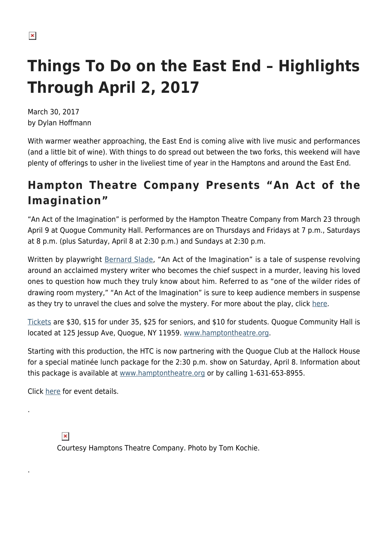# **Things To Do on the East End – Highlights Through April 2, 2017**

March 30, 2017 by Dylan Hoffmann

With warmer weather approaching, the East End is coming alive with live music and performances (and a little bit of wine). With things to do spread out between the two forks, this weekend will have plenty of offerings to usher in the liveliest time of year in the Hamptons and around the East End.

## **Hampton Theatre Company Presents "An Act of the Imagination"**

"An Act of the Imagination" is performed by the Hampton Theatre Company from March 23 through April 9 at Quogue Community Hall. Performances are on Thursdays and Fridays at 7 p.m., Saturdays at 8 p.m. (plus Saturday, April 8 at 2:30 p.m.) and Sundays at 2:30 p.m.

Written by playwright [Bernard Slade,](http://www.imdb.com/name/nm0805152/) "An Act of the Imagination" is a tale of suspense revolving around an acclaimed mystery writer who becomes the chief suspect in a murder, leaving his loved ones to question how much they truly know about him. Referred to as "one of the wilder rides of drawing room mystery," "An Act of the Imagination" is sure to keep audience members in suspense as they try to unravel the clues and solve the mystery. For more about the play, click [here](https://hamptonsarthub.com/2017/03/21/events-hampton-theatre-company-opens%E2%80%A8-a-tale-of-mystery-and-suspense%E2%80%A8-march-23-in-quogue/).

[Tickets](https://web.ovationtix.com/trs/pr/961989) are \$30, \$15 for under 35, \$25 for seniors, and \$10 for students. Quogue Community Hall is located at 125 Jessup Ave, Quogue, NY 11959. [www.hamptontheatre.org.](http://hamptontheatre.org/)

Starting with this production, the HTC is now partnering with the Quogue Club at the Hallock House for a special matinée lunch package for the 2:30 p.m. show on Saturday, April 8. Information about this package is available at [www.hamptontheatre.org](http://www.hamptontheatre.org/) or by calling 1-631-653-8955.

Click [here](http://hamptontheatre.org/?p=2928) for event details.

.

.

 $\pmb{\times}$ Courtesy Hamptons Theatre Company. Photo by Tom Kochie.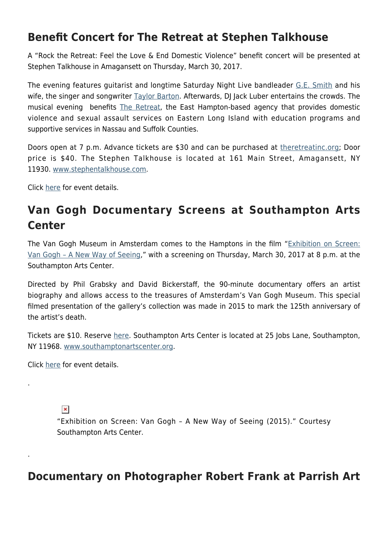#### **Benefit Concert for The Retreat at Stephen Talkhouse**

A "Rock the Retreat: Feel the Love & End Domestic Violence" benefit concert will be presented at Stephen Talkhouse in Amagansett on Thursday, March 30, 2017.

The evening features guitarist and longtime Saturday Night Live bandleader [G.E. Smith](https://gesmithmusic.wordpress.com/) and his wife, the singer and songwriter [Taylor Barton](http://taylorbarton.com/). Afterwards, DJ Jack Luber entertains the crowds. The musical evening benefits [The Retreat,](http://www.theretreatinc.org/) the East Hampton-based agency that provides domestic violence and sexual assault services on Eastern Long Island with education programs and supportive services in Nassau and Suffolk Counties.

Doors open at 7 p.m. Advance tickets are \$30 and can be purchased at [theretreatinc.org](https://interland3.donorperfect.net/weblink/weblink.aspx?name=E9105&id=2); Door price is \$40. The Stephen Talkhouse is located at 161 Main Street, Amagansett, NY 11930. [www.stephentalkhouse.com](http://stephentalkhouse.com/).

Click [here](http://stephentalkhouse.com/event.cfm?id=255662&cart) for event details.

### **Van Gogh Documentary Screens at Southampton Arts Center**

The Van Gogh Museum in Amsterdam comes to the Hamptons in the film ["Exhibition on Screen:](http://www.exhibitiononscreen.com/en-uk/our-films/season-2/van-gogh) [Van Gogh – A New Way of Seeing,](http://www.exhibitiononscreen.com/en-uk/our-films/season-2/van-gogh)" with a screening on Thursday, March 30, 2017 at 8 p.m. at the Southampton Arts Center.

Directed by Phil Grabsky and David Bickerstaff, the 90-minute documentary offers an artist biography and allows access to the treasures of Amsterdam's Van Gogh Museum. This special filmed presentation of the gallery's collection was made in 2015 to mark the 125th anniversary of the artist's death.

Tickets are \$10. Reserve [here.](http://vincentvangoghanewwayofseeing.bpt.me/) Southampton Arts Center is located at 25 Jobs Lane, Southampton, NY 11968. [www.southamptonartscenter.org.](http://southamptonartscenter.org/)

Click [here](http://southamptonartscenter.org/event/exhibition-on-screen-van-gogh-a-new-way-of-seeing/) for event details.

 $\pmb{\times}$ 

.

.

"Exhibition on Screen: Van Gogh – A New Way of Seeing (2015)." Courtesy Southampton Arts Center.

#### **Documentary on Photographer Robert Frank at Parrish Art**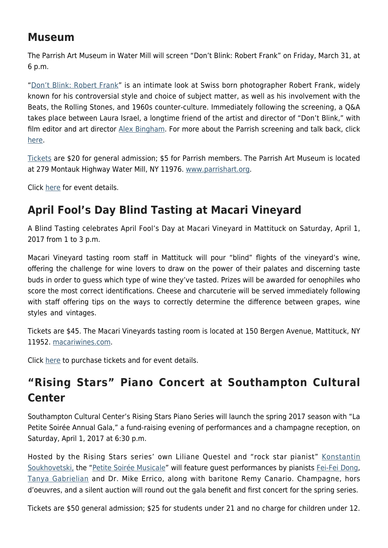### **Museum**

The Parrish Art Museum in Water Mill will screen "Don't Blink: Robert Frank" on Friday, March 31, at 6 p.m.

"[Don't Blink: Robert Frank"](http://www.dontblinkrobertfrank.com/about/) is an intimate look at Swiss born photographer Robert Frank, widely known for his controversial style and choice of subject matter, as well as his involvement with the Beats, the Rolling Stones, and 1960s counter-culture. Immediately following the screening, a Q&A takes place between Laura Israel, a longtime friend of the artist and director of "Don't Blink," with film editor and art director [Alex Bingham.](http://alexbinghamnyc.com/) For more about the Parrish screening and talk back, click [here.](https://hamptonsarthub.com/2017/03/27/events-parrish-art-museum-screens-dont-blink-robert-frank-with-filmmaker-talk/)

[Tickets](https://327.blackbaudhosting.com/327/tickets?tab=2&txobjid=f41c33f3-051f-4f51-bcad-040354fd64d2) are \$20 for general admission; \$5 for Parrish members. The Parrish Art Museum is located at 279 Montauk Highway Water Mill, NY 11976. [www.parrishart.org](http://www.parrishart.org/).

Click [here](http://www.parrishart.org/programs/1943) for event details.

#### **April Fool's Day Blind Tasting at Macari Vineyard**

A Blind Tasting celebrates April Fool's Day at Macari Vineyard in Mattituck on Saturday, April 1, 2017 from 1 to 3 p.m.

Macari Vineyard tasting room staff in Mattituck will pour "blind" flights of the vineyard's wine, offering the challenge for wine lovers to draw on the power of their palates and discerning taste buds in order to guess which type of wine they've tasted. Prizes will be awarded for oenophiles who score the most correct identifications. Cheese and charcuterie will be served immediately following with staff offering tips on the ways to correctly determine the difference between grapes, wine styles and vintages.

Tickets are \$45. The Macari Vineyards tasting room is located at 150 Bergen Avenue, Mattituck, NY 11952. [macariwines.com.](http://www.macariwines.com/)

Click [here](http://www.macariwines.com/events/can-we-fool-you-blind-tasting/) to purchase tickets and for event details.

### **"Rising Stars" Piano Concert at Southampton Cultural Center**

Southampton Cultural Center's Rising Stars Piano Series will launch the spring 2017 season with "La Petite Soirée Annual Gala," a fund-raising evening of performances and a champagne reception, on Saturday, April 1, 2017 at 6:30 p.m.

Hosted by the Rising Stars series' own Liliane Questel and "rock star pianist" [Konstantin](https://www.konstantinsoukhovetski.com/) [Soukhovetski,](https://www.konstantinsoukhovetski.com/) the "[Petite Soirée Musicale"](http://www.scc-arts.org/event/rising-stars-series-la-petite-soiree-annual-gala/) will feature guest performances by pianists [Fei-Fei Dong,](http://www.concertartists.org/artist/fei-fei-dong) [Tanya Gabrielian](https://www.tanyagabrielian.com/bio) and Dr. Mike Errico, along with baritone Remy Canario. Champagne, hors d'oeuvres, and a silent auction will round out the gala benefit and first concert for the spring series.

Tickets are \$50 general admission; \$25 for students under 21 and no charge for children under 12.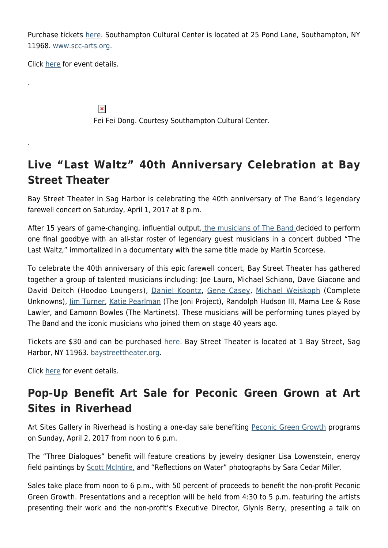Purchase tickets [here.](https://web.ovationtix.com/trs/pe.c/10151437) Southampton Cultural Center is located at 25 Pond Lane, Southampton, NY 11968. [www.scc-arts.org.](http://www.scc-arts.org/)

Click [here](http://www.scc-arts.org/event/rising-stars-series-la-petite-soiree-annual-gala/) for event details.

.

.

 $\pmb{\times}$ Fei Fei Dong. Courtesy Southampton Cultural Center.

### **Live "Last Waltz" 40th Anniversary Celebration at Bay Street Theater**

Bay Street Theater in Sag Harbor is celebrating the 40th anniversary of The Band's legendary farewell concert on Saturday, April 1, 2017 at 8 p.m.

After 15 years of game-changing, influential output, [the musicians of The Band](http://theband.hiof.no/) decided to perform one final goodbye with an all-star roster of legendary guest musicians in a concert dubbed "The Last Waltz," immortalized in a documentary with the same title made by Martin Scorcese.

To celebrate the 40th anniversary of this epic farewell concert, Bay Street Theater has gathered together a group of talented musicians including: Joe Lauro, Michael Schiano, Dave Giacone and David Deitch (Hoodoo Loungers), [Daniel Koontz](http://www.danielkoontz.com/), [Gene Casey](https://genecasey.com/), [Michael Weiskoph](http://michaelweiskopf.com/) (Complete Unknowns), [Jim Turner,](http://www.jimturnermusic.com/) [Katie Pearlman](https://www.katiepearlman.com/) (The Joni Project), Randolph Hudson III, Mama Lee & Rose Lawler, and Eamonn Bowles (The Martinets). These musicians will be performing tunes played by The Band and the iconic musicians who joined them on stage 40 years ago.

Tickets are \$30 and can be purchased [here](https://baystreet.secure.force.com/ticket/#sections_a0F41000002W9eBEAS). Bay Street Theater is located at 1 Bay Street, Sag Harbor, NY 11963. [baystreettheater.org.](http://www.baystreet.org/)

Click [here](http://www.baystreet.org/calendar/the-last-waltz-live-40th-anniversary-celebration/) for event details.

#### **Pop-Up Benefit Art Sale for Peconic Green Grown at Art Sites in Riverhead**

Art Sites Gallery in Riverhead is hosting a one-day sale benefiting [Peconic Green Growth](http://peconicgreengrowth.org/) programs on Sunday, April 2, 2017 from noon to 6 p.m.

The "Three Dialogues" benefit will feature creations by jewelry designer Lisa Lowenstein, energy field paintings by **Scott McIntire**, and "Reflections on Water" photographs by Sara Cedar Miller.

Sales take place from noon to 6 p.m., with 50 percent of proceeds to benefit the non-profit Peconic Green Growth. Presentations and a reception will be held from 4:30 to 5 p.m. featuring the artists presenting their work and the non-profit's Executive Director, Glynis Berry, presenting a talk on